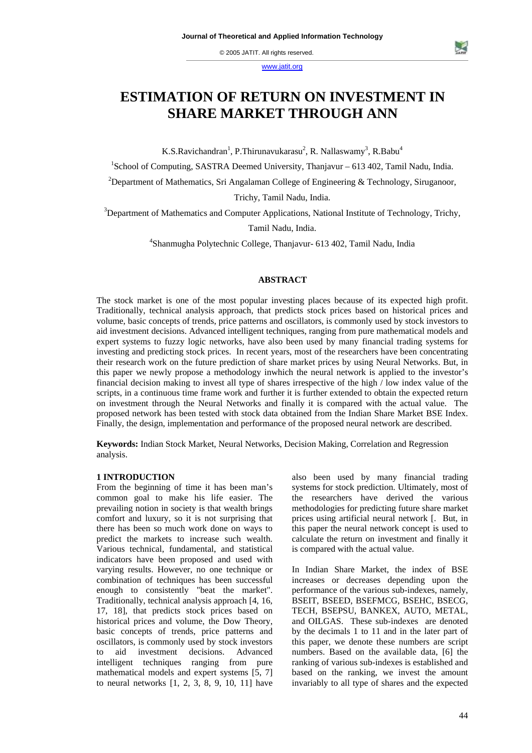www.jatit.org

# **ESTIMATION OF RETURN ON INVESTMENT IN SHARE MARKET THROUGH ANN**

K.S.Ravichandran<sup>1</sup>, P.Thirunavukarasu<sup>2</sup>, R. Nallaswamy<sup>3</sup>, R.Babu<sup>4</sup>

<sup>1</sup>School of Computing, SASTRA Deemed University, Thanjavur – 613 402, Tamil Nadu, India.

<sup>2</sup>Department of Mathematics, Sri Angalaman College of Engineering & Technology, Siruganoor,

Trichy, Tamil Nadu, India.

<sup>3</sup>Department of Mathematics and Computer Applications, National Institute of Technology, Trichy,

Tamil Nadu, India.

4 Shanmugha Polytechnic College, Thanjavur- 613 402, Tamil Nadu, India

## **ABSTRACT**

The stock market is one of the most popular investing places because of its expected high profit. Traditionally, technical analysis approach, that predicts stock prices based on historical prices and volume, basic concepts of trends, price patterns and oscillators, is commonly used by stock investors to aid investment decisions. Advanced intelligent techniques, ranging from pure mathematical models and expert systems to fuzzy logic networks, have also been used by many financial trading systems for investing and predicting stock prices. In recent years, most of the researchers have been concentrating their research work on the future prediction of share market prices by using Neural Networks. But, in this paper we newly propose a methodology inwhich the neural network is applied to the investor's financial decision making to invest all type of shares irrespective of the high / low index value of the scripts, in a continuous time frame work and further it is further extended to obtain the expected return on investment through the Neural Networks and finally it is compared with the actual value. The proposed network has been tested with stock data obtained from the Indian Share Market BSE Index. Finally, the design, implementation and performance of the proposed neural network are described.

**Keywords:** Indian Stock Market, Neural Networks, Decision Making, Correlation and Regression analysis.

## **1 INTRODUCTION**

From the beginning of time it has been man's common goal to make his life easier. The prevailing notion in society is that wealth brings comfort and luxury, so it is not surprising that there has been so much work done on ways to predict the markets to increase such wealth. Various technical, fundamental, and statistical indicators have been proposed and used with varying results. However, no one technique or combination of techniques has been successful enough to consistently "beat the market". Traditionally, technical analysis approach [4, 16, 17, 18], that predicts stock prices based on historical prices and volume, the Dow Theory, basic concepts of trends, price patterns and oscillators, is commonly used by stock investors to aid investment decisions. Advanced intelligent techniques ranging from pure mathematical models and expert systems [5, 7] to neural networks [1, 2, 3, 8, 9, 10, 11] have

also been used by many financial trading systems for stock prediction. Ultimately, most of the researchers have derived the various methodologies for predicting future share market prices using artificial neural network [. But, in this paper the neural network concept is used to calculate the return on investment and finally it is compared with the actual value.

In Indian Share Market, the index of BSE increases or decreases depending upon the performance of the various sub-indexes, namely, BSEIT, BSEED, BSEFMCG, BSEHC, BSECG, TECH, BSEPSU, BANKEX, AUTO, METAL, and OILGAS. These sub-indexes are denoted by the decimals 1 to 11 and in the later part of this paper, we denote these numbers are script numbers. Based on the available data, [6] the ranking of various sub-indexes is established and based on the ranking, we invest the amount invariably to all type of shares and the expected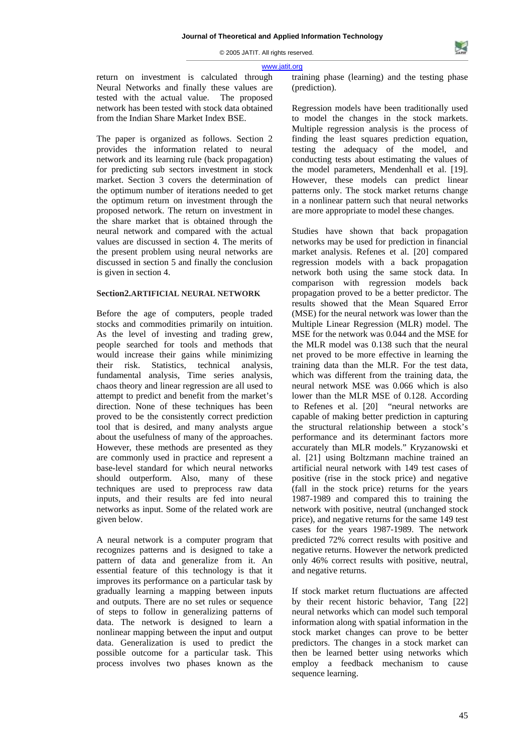

## www.jatit.org

return on investment is calculated through Neural Networks and finally these values are tested with the actual value. The proposed network has been tested with stock data obtained from the Indian Share Market Index BSE.

The paper is organized as follows. Section 2 provides the information related to neural network and its learning rule (back propagation) for predicting sub sectors investment in stock market. Section 3 covers the determination of the optimum number of iterations needed to get the optimum return on investment through the proposed network. The return on investment in the share market that is obtained through the neural network and compared with the actual values are discussed in section 4. The merits of the present problem using neural networks are discussed in section 5 and finally the conclusion is given in section 4.

## **Section2.ARTIFICIAL NEURAL NETWORK**

Before the age of computers, people traded stocks and commodities primarily on intuition. As the level of investing and trading grew, people searched for tools and methods that would increase their gains while minimizing their risk. Statistics, technical analysis, fundamental analysis, Time series analysis, chaos theory and linear regression are all used to attempt to predict and benefit from the market's direction. None of these techniques has been proved to be the consistently correct prediction tool that is desired, and many analysts argue about the usefulness of many of the approaches. However, these methods are presented as they are commonly used in practice and represent a base-level standard for which neural networks should outperform. Also, many of these techniques are used to preprocess raw data inputs, and their results are fed into neural networks as input. Some of the related work are given below.

A neural network is a computer program that recognizes patterns and is designed to take a pattern of data and generalize from it. An essential feature of this technology is that it improves its performance on a particular task by gradually learning a mapping between inputs and outputs. There are no set rules or sequence of steps to follow in generalizing patterns of data. The network is designed to learn a nonlinear mapping between the input and output data. Generalization is used to predict the possible outcome for a particular task. This process involves two phases known as the

training phase (learning) and the testing phase (prediction).

Regression models have been traditionally used to model the changes in the stock markets. Multiple regression analysis is the process of finding the least squares prediction equation, testing the adequacy of the model, and conducting tests about estimating the values of the model parameters, Mendenhall et al. [19]. However, these models can predict linear patterns only. The stock market returns change in a nonlinear pattern such that neural networks are more appropriate to model these changes.

Studies have shown that back propagation networks may be used for prediction in financial market analysis. Refenes et al. [20] compared regression models with a back propagation network both using the same stock data. In comparison with regression models back propagation proved to be a better predictor. The results showed that the Mean Squared Error (MSE) for the neural network was lower than the Multiple Linear Regression (MLR) model. The MSE for the network was 0.044 and the MSE for the MLR model was 0.138 such that the neural net proved to be more effective in learning the training data than the MLR. For the test data, which was different from the training data, the neural network MSE was 0.066 which is also lower than the MLR MSE of 0.128. According to Refenes et al. [20] "neural networks are capable of making better prediction in capturing the structural relationship between a stock's performance and its determinant factors more accurately than MLR models." Kryzanowski et al. [21] using Boltzmann machine trained an artificial neural network with 149 test cases of positive (rise in the stock price) and negative (fall in the stock price) returns for the years 1987-1989 and compared this to training the network with positive, neutral (unchanged stock price), and negative returns for the same 149 test cases for the years 1987-1989. The network predicted 72% correct results with positive and negative returns. However the network predicted only 46% correct results with positive, neutral, and negative returns.

If stock market return fluctuations are affected by their recent historic behavior, Tang [22] neural networks which can model such temporal information along with spatial information in the stock market changes can prove to be better predictors. The changes in a stock market can then be learned better using networks which employ a feedback mechanism to cause sequence learning.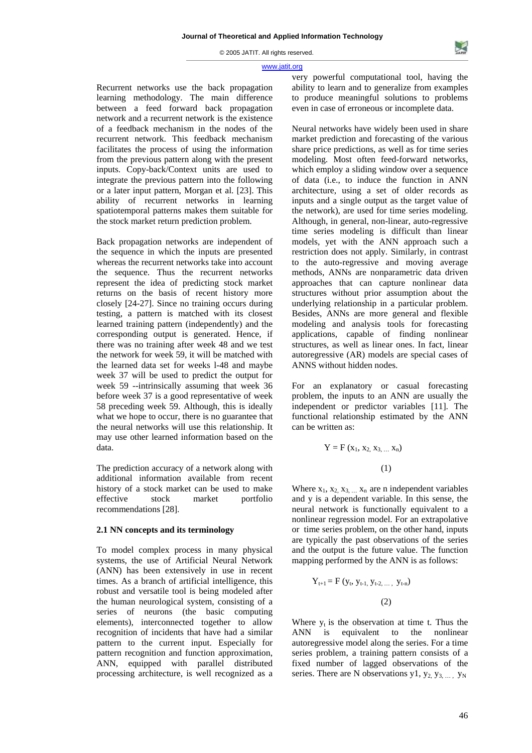

## www.jatit.org

Recurrent networks use the back propagation learning methodology. The main difference between a feed forward back propagation network and a recurrent network is the existence of a feedback mechanism in the nodes of the recurrent network. This feedback mechanism facilitates the process of using the information from the previous pattern along with the present inputs. Copy-back/Context units are used to integrate the previous pattern into the following or a later input pattern, Morgan et al. [23]. This ability of recurrent networks in learning spatiotemporal patterns makes them suitable for the stock market return prediction problem.

Back propagation networks are independent of the sequence in which the inputs are presented whereas the recurrent networks take into account the sequence. Thus the recurrent networks represent the idea of predicting stock market returns on the basis of recent history more closely [24-27]. Since no training occurs during testing, a pattern is matched with its closest learned training pattern (independently) and the corresponding output is generated. Hence, if there was no training after week 48 and we test the network for week 59, it will be matched with the learned data set for weeks l-48 and maybe week 37 will be used to predict the output for week 59 --intrinsically assuming that week 36 before week 37 is a good representative of week 58 preceding week 59. Although, this is ideally what we hope to occur, there is no guarantee that the neural networks will use this relationship. It may use other learned information based on the data.

The prediction accuracy of a network along with additional information available from recent history of a stock market can be used to make effective stock market portfolio recommendations [28].

## **2.1 NN concepts and its terminology**

To model complex process in many physical systems, the use of Artificial Neural Network (ANN) has been extensively in use in recent times. As a branch of artificial intelligence, this robust and versatile tool is being modeled after the human neurological system, consisting of a series of neurons (the basic computing elements), interconnected together to allow recognition of incidents that have had a similar pattern to the current input. Especially for pattern recognition and function approximation, ANN, equipped with parallel distributed processing architecture, is well recognized as a very powerful computational tool, having the ability to learn and to generalize from examples to produce meaningful solutions to problems even in case of erroneous or incomplete data.

Neural networks have widely been used in share market prediction and forecasting of the various share price predictions, as well as for time series modeling. Most often feed-forward networks, which employ a sliding window over a sequence of data (i.e., to induce the function in ANN architecture, using a set of older records as inputs and a single output as the target value of the network), are used for time series modeling. Although, in general, non-linear, auto-regressive time series modeling is difficult than linear models, yet with the ANN approach such a restriction does not apply. Similarly, in contrast to the auto-regressive and moving average methods, ANNs are nonparametric data driven approaches that can capture nonlinear data structures without prior assumption about the underlying relationship in a particular problem. Besides, ANNs are more general and flexible modeling and analysis tools for forecasting applications, capable of finding nonlinear structures, as well as linear ones. In fact, linear autoregressive (AR) models are special cases of ANNS without hidden nodes.

For an explanatory or casual forecasting problem, the inputs to an ANN are usually the independent or predictor variables [11]. The functional relationship estimated by the ANN can be written as:

$$
Y = F(x_1, x_2, x_3, \dots x_n)
$$

$$
(1)
$$

Where  $x_1, x_2, x_3, \ldots, x_n$  are n independent variables and y is a dependent variable. In this sense, the neural network is functionally equivalent to a nonlinear regression model. For an extrapolative or time series problem, on the other hand, inputs are typically the past observations of the series and the output is the future value. The function mapping performed by the ANN is as follows:

$$
Y_{t+1} = F(y_t, y_{t-1, y_{t-2, ..., y_{t-n}})
$$
\n(2)

Where  $v_t$  is the observation at time t. Thus the ANN is equivalent to the nonlinear autoregressive model along the series. For a time series problem, a training pattern consists of a fixed number of lagged observations of the series. There are N observations y1,  $y_2, y_3, \ldots, y_N$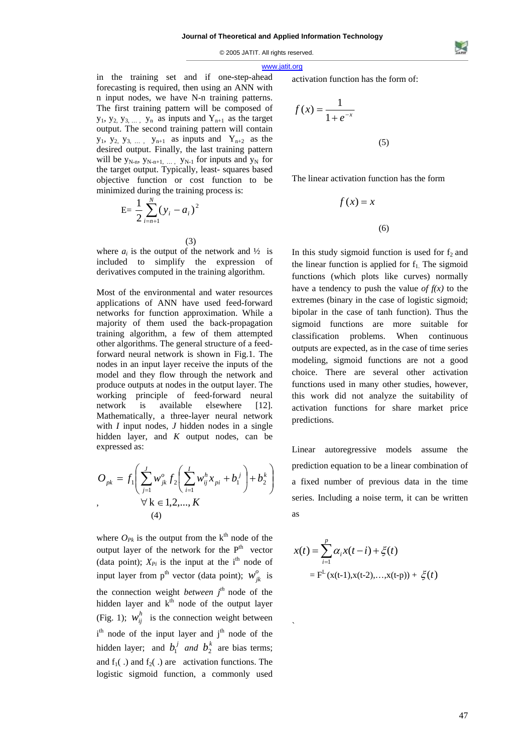#### www.jatit.org

in the training set and if one-step-ahead forecasting is required, then using an ANN with n input nodes, we have N-n training patterns. The first training pattern will be composed of  $y_1, y_2, y_3, \dots, y_n$  as inputs and  $Y_{n+1}$  as the target output. The second training pattern will contain  $y_1$ ,  $y_2$ ,  $y_3$ ,  $\ldots$ ,  $y_{n+1}$  as inputs and  $Y_{n+2}$  as the desired output. Finally, the last training pattern will be  $y_{N-n}$ ,  $y_{N-n+1}$ , ...,  $y_{N-1}$  for inputs and  $y_N$  for the target output. Typically, least- squares based objective function or cost function to be minimized during the training process is:

$$
E = \frac{1}{2} \sum_{i=n+1}^{N} (y_i - a_i)^2
$$

where  $a_i$  is the output of the network and  $\frac{1}{2}$  is included to simplify the expression of derivatives computed in the training algorithm.

(3)

Most of the environmental and water resources applications of ANN have used feed-forward networks for function approximation. While a majority of them used the back-propagation training algorithm, a few of them attempted other algorithms. The general structure of a feedforward neural network is shown in Fig.1. The nodes in an input layer receive the inputs of the model and they flow through the network and produce outputs at nodes in the output layer. The working principle of feed-forward neural network is available elsewhere [12]. Mathematically, a three-layer neural network with *I* input nodes, *J* hidden nodes in a single hidden layer, and *K* output nodes, can be expressed as:

$$
O_{pk} = f_1 \left( \sum_{j=1}^{J} w_{jk}^o f_2 \left( \sum_{i=1}^{I} w_{ij}^h x_{pi} + b_1^j \right) + b_2^k \right)
$$
  
, 
$$
\forall k \in 1, 2, ..., K
$$
  
(4)

where  $O_{Pk}$  is the output from the  $k^{\text{th}}$  node of the output layer of the network for the  $P<sup>th</sup>$  vector (data point);  $X_{Pi}$  is the input at the i<sup>th</sup> node of input layer from  $p^{th}$  vector (data point);  $W_{jk}^o$  is the connection weight *between*  $j<sup>th</sup>$  node of the hidden layer and  $k<sup>th</sup>$  node of the output layer (Fig. 1);  $w_{ij}^h$  is the connection weight between i<sup>th</sup> node of the input layer and j<sup>th</sup> node of the hidden layer; and  $b_1^j$  *and*  $b_2^k$  are bias terms; and  $f_1(.)$  and  $f_2(.)$  are activation functions. The logistic sigmoid function, a commonly used

activation function has the form of:

$$
f(x) = \frac{1}{1 + e^{-x}}
$$

The linear activation function has the form

(5)

$$
f(x) = x
$$
\n(6)

In this study sigmoid function is used for  $f_2$  and the linear function is applied for  $f_1$ . The sigmoid functions (which plots like curves) normally have a tendency to push the value *of*  $f(x)$  to the extremes (binary in the case of logistic sigmoid; bipolar in the case of tanh function). Thus the sigmoid functions are more suitable for classification problems. When continuous outputs are expected, as in the case of time series modeling, sigmoid functions are not a good choice. There are several other activation functions used in many other studies, however, this work did not analyze the suitability of activation functions for share market price predictions.

Linear autoregressive models assume the prediction equation to be a linear combination of a fixed number of previous data in the time series. Including a noise term, it can be written as

$$
x(t) = \sum_{i=1}^{p} \alpha_i x(t - i) + \xi(t)
$$
  
= F<sup>L</sup> (x(t-1),x(t-2),...,x(t-p)) + \xi(t)

 $\mathcal{L} = \mathcal{L} \left( \mathcal{L} \right)$  and  $\mathcal{L} = \mathcal{L} \left( \mathcal{L} \right)$  . The contract of  $\mathcal{L} \left( \mathcal{L} \right)$ 

47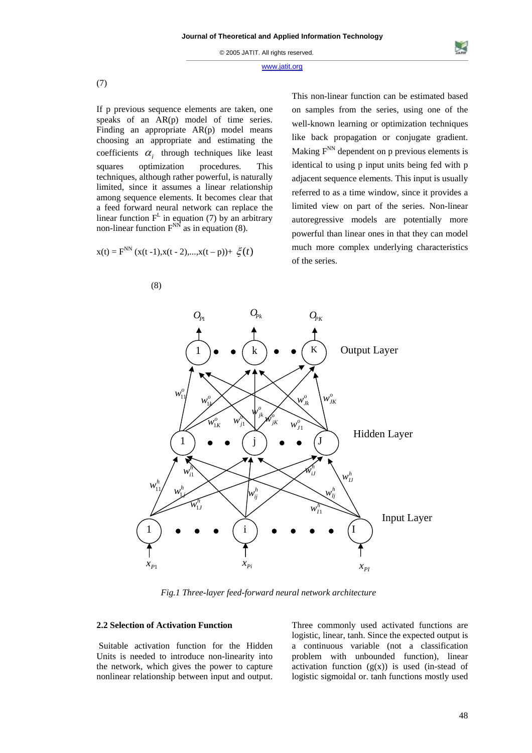### www.jatit.org

(7)

If p previous sequence elements are taken, one speaks of an AR(p) model of time series. Finding an appropriate AR(p) model means choosing an appropriate and estimating the coefficients  $\alpha_i$  through techniques like least squares optimization procedures. This techniques, although rather powerful, is naturally limited, since it assumes a linear relationship among sequence elements. It becomes clear that a feed forward neural network can replace the linear function  $F<sup>L</sup>$  in equation (7) by an arbitrary non-linear function  $F^{NN}$  as in equation (8).

$$
x(t) = F^{NN} (x(t-1), x(t-2),...,x(t-p)) + \xi(t)
$$

(8)

This non-linear function can be estimated based on samples from the series, using one of the well-known learning or optimization techniques like back propagation or conjugate gradient. Making  $F^{NN}$  dependent on p previous elements is identical to using p input units being fed with p adjacent sequence elements. This input is usually referred to as a time window, since it provides a limited view on part of the series. Non-linear autoregressive models are potentially more powerful than linear ones in that they can model much more complex underlying characteristics of the series.



*Fig.1 Three-layer feed-forward neural network architecture* 

## **2.2 Selection of Activation Function**

Suitable activation function for the Hidden Units is needed to introduce non-linearity into the network, which gives the power to capture nonlinear relationship between input and output.

Three commonly used activated functions are logistic, linear, tanh. Since the expected output is a continuous variable (not a classification problem with unbounded function), linear activation function  $(g(x))$  is used (in-stead of logistic sigmoidal or. tanh functions mostly used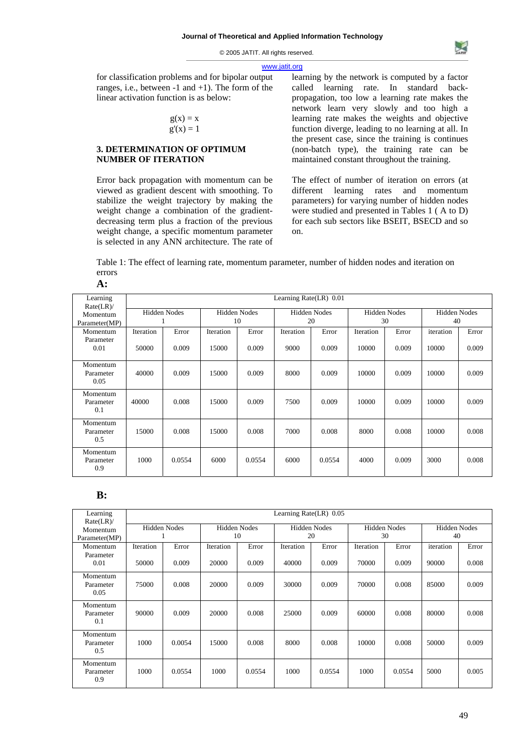

#### www.jatit.org

for classification problems and for bipolar output ranges, i.e., between  $-1$  and  $+1$ ). The form of the linear activation function is as below:

> $g(x) = x$  $g'(x) = 1$

## **3. DETERMINATION OF OPTIMUM NUMBER OF ITERATION**

Error back propagation with momentum can be viewed as gradient descent with smoothing. To stabilize the weight trajectory by making the weight change a combination of the gradientdecreasing term plus a fraction of the previous weight change, a specific momentum parameter is selected in any ANN architecture. The rate of

learning by the network is computed by a factor called learning rate. In standard backpropagation, too low a learning rate makes the network learn very slowly and too high a learning rate makes the weights and objective function diverge, leading to no learning at all. In the present case, since the training is continues (non-batch type), the training rate can be maintained constant throughout the training.

The effect of number of iteration on errors (at different learning rates and momentum parameters) for varying number of hidden nodes were studied and presented in Tables 1 ( A to D) for each sub sectors like BSEIT, BSECD and so on.

Table 1: The effect of learning rate, momentum parameter, number of hidden nodes and iteration on errors

**A:** 

| Learning<br>Rate(LR)/<br>Momentum<br>Parameter(MP) | Learning Rate(LR) 0.01 |        |                           |        |                           |        |                           |       |                           |       |  |  |
|----------------------------------------------------|------------------------|--------|---------------------------|--------|---------------------------|--------|---------------------------|-------|---------------------------|-------|--|--|
|                                                    | <b>Hidden Nodes</b>    |        | <b>Hidden Nodes</b><br>10 |        | <b>Hidden Nodes</b><br>20 |        | <b>Hidden Nodes</b><br>30 |       | <b>Hidden Nodes</b><br>40 |       |  |  |
| Momentum                                           | Iteration              | Error  | Iteration                 | Error  | Iteration                 | Error  | Iteration                 | Error | iteration                 | Error |  |  |
| Parameter<br>0.01                                  | 50000                  | 0.009  | 15000                     | 0.009  | 9000                      | 0.009  | 10000                     | 0.009 | 10000                     | 0.009 |  |  |
| Momentum<br>Parameter<br>0.05                      | 40000                  | 0.009  | 15000                     | 0.009  | 8000                      | 0.009  | 10000                     | 0.009 | 10000                     | 0.009 |  |  |
| Momentum<br>Parameter<br>0.1                       | 40000                  | 0.008  | 15000                     | 0.009  | 7500                      | 0.009  | 10000                     | 0.009 | 10000                     | 0.009 |  |  |
| Momentum<br>Parameter<br>0.5                       | 15000                  | 0.008  | 15000                     | 0.008  | 7000                      | 0.008  | 8000                      | 0.008 | 10000                     | 0.008 |  |  |
| Momentum<br>Parameter<br>0.9                       | 1000                   | 0.0554 | 6000                      | 0.0554 | 6000                      | 0.0554 | 4000                      | 0.009 | 3000                      | 0.008 |  |  |

## **B:**

| Learning<br>Rate(LR)/         | Learning Rate(LR) 0.05 |                |                           |                |                           |                |                           |                |                           |                |  |
|-------------------------------|------------------------|----------------|---------------------------|----------------|---------------------------|----------------|---------------------------|----------------|---------------------------|----------------|--|
| Momentum<br>Parameter(MP)     | <b>Hidden Nodes</b>    |                | <b>Hidden Nodes</b><br>10 |                | <b>Hidden Nodes</b><br>20 |                | <b>Hidden Nodes</b><br>30 |                | <b>Hidden Nodes</b><br>40 |                |  |
| Momentum<br>Parameter<br>0.01 | Iteration<br>50000     | Error<br>0.009 | Iteration<br>20000        | Error<br>0.009 | Iteration<br>40000        | Error<br>0.009 | Iteration<br>70000        | Error<br>0.009 | iteration<br>90000        | Error<br>0.008 |  |
| Momentum<br>Parameter<br>0.05 | 75000                  | 0.008          | 20000                     | 0.009          | 30000                     | 0.009          | 70000                     | 0.008          | 85000                     | 0.009          |  |
| Momentum<br>Parameter<br>0.1  | 90000                  | 0.009          | 20000                     | 0.008          | 25000                     | 0.009          | 60000                     | 0.008          | 80000                     | 0.008          |  |
| Momentum<br>Parameter<br>0.5  | 1000                   | 0.0054         | 15000                     | 0.008          | 8000                      | 0.008          | 10000                     | 0.008          | 50000                     | 0.009          |  |
| Momentum<br>Parameter<br>0.9  | 1000                   | 0.0554         | 1000                      | 0.0554         | 1000                      | 0.0554         | 1000                      | 0.0554         | 5000                      | 0.005          |  |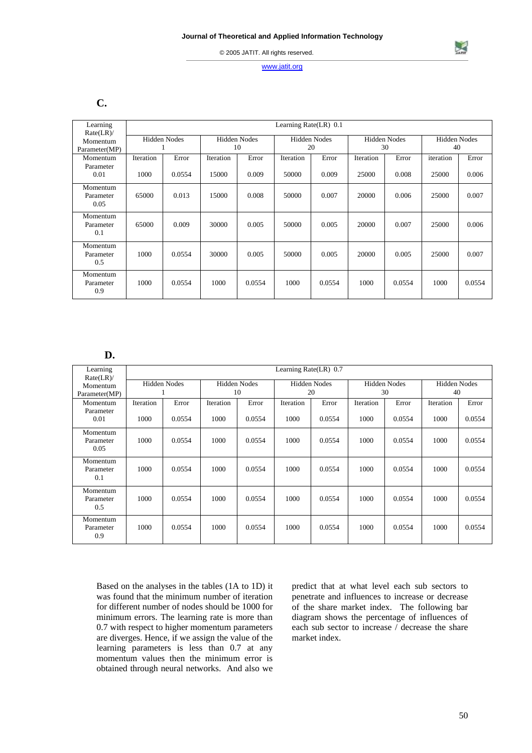

## www.jatit.org

**C.** 

| Learning<br>Rate(LR)/<br>Momentum<br>Parameter(MP) | Learning Rate $(LR)$ 0.1 |                 |                    |                |                    |                |                    |                |                    |                |  |  |
|----------------------------------------------------|--------------------------|-----------------|--------------------|----------------|--------------------|----------------|--------------------|----------------|--------------------|----------------|--|--|
|                                                    | Hidden Nodes             |                 | Hidden Nodes<br>10 |                | Hidden Nodes<br>20 |                | Hidden Nodes<br>30 |                | Hidden Nodes<br>40 |                |  |  |
| Momentum<br>Parameter<br>0.01                      | Iteration<br>1000        | Error<br>0.0554 | Iteration<br>15000 | Error<br>0.009 | Iteration<br>50000 | Error<br>0.009 | Iteration<br>25000 | Error<br>0.008 | iteration<br>25000 | Error<br>0.006 |  |  |
| Momentum<br>Parameter<br>0.05                      | 65000                    | 0.013           | 15000              | 0.008          | 50000              | 0.007          | 20000              | 0.006          | 25000              | 0.007          |  |  |
| Momentum<br>Parameter<br>0.1                       | 65000                    | 0.009           | 30000              | 0.005          | 50000              | 0.005          | 20000              | 0.007          | 25000              | 0.006          |  |  |
| Momentum<br>Parameter<br>0.5                       | 1000                     | 0.0554          | 30000              | 0.005          | 50000              | 0.005          | 20000              | 0.005          | 25000              | 0.007          |  |  |
| Momentum<br>Parameter<br>0.9                       | 1000                     | 0.0554          | 1000               | 0.0554         | 1000               | 0.0554         | 1000               | 0.0554         | 1000               | 0.0554         |  |  |

## **D.**

| Learning<br>Rate(LR)/<br>Momentum<br>Parameter(MP) | Learning Rate(LR) 0.7 |                 |                           |                 |                           |                 |                           |                 |                           |                 |  |  |
|----------------------------------------------------|-----------------------|-----------------|---------------------------|-----------------|---------------------------|-----------------|---------------------------|-----------------|---------------------------|-----------------|--|--|
|                                                    | <b>Hidden Nodes</b>   |                 | <b>Hidden Nodes</b><br>10 |                 | <b>Hidden Nodes</b><br>20 |                 | <b>Hidden Nodes</b><br>30 |                 | <b>Hidden Nodes</b><br>40 |                 |  |  |
| Momentum<br>Parameter<br>0.01                      | Iteration<br>1000     | Error<br>0.0554 | Iteration<br>1000         | Error<br>0.0554 | Iteration<br>1000         | Error<br>0.0554 | Iteration<br>1000         | Error<br>0.0554 | Iteration<br>1000         | Error<br>0.0554 |  |  |
| Momentum<br>Parameter<br>0.05                      | 1000                  | 0.0554          | 1000                      | 0.0554          | 1000                      | 0.0554          | 1000                      | 0.0554          | 1000                      | 0.0554          |  |  |
| Momentum<br>Parameter<br>0.1                       | 1000                  | 0.0554          | 1000                      | 0.0554          | 1000                      | 0.0554          | 1000                      | 0.0554          | 1000                      | 0.0554          |  |  |
| Momentum<br>Parameter<br>0.5                       | 1000                  | 0.0554          | 1000                      | 0.0554          | 1000                      | 0.0554          | 1000                      | 0.0554          | 1000                      | 0.0554          |  |  |
| Momentum<br>Parameter<br>0.9                       | 1000                  | 0.0554          | 1000                      | 0.0554          | 1000                      | 0.0554          | 1000                      | 0.0554          | 1000                      | 0.0554          |  |  |

Based on the analyses in the tables (1A to 1D) it was found that the minimum number of iteration for different number of nodes should be 1000 for minimum errors. The learning rate is more than 0.7 with respect to higher momentum parameters are diverges. Hence, if we assign the value of the learning parameters is less than 0.7 at any momentum values then the minimum error is obtained through neural networks. And also we

predict that at what level each sub sectors to penetrate and influences to increase or decrease of the share market index. The following bar diagram shows the percentage of influences of each sub sector to increase / decrease the share market index.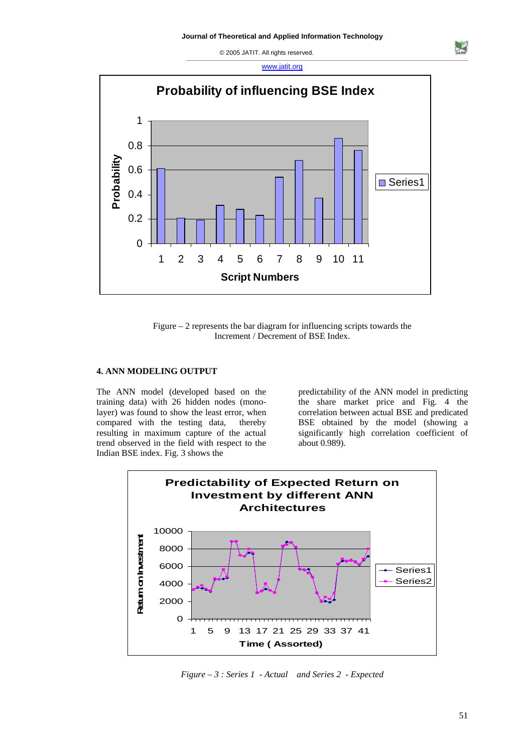#### www.jatit.org



Figure – 2 represents the bar diagram for influencing scripts towards the Increment / Decrement of BSE Index.

## **4. ANN MODELING OUTPUT**

The ANN model (developed based on the training data) with 26 hidden nodes (monolayer) was found to show the least error, when compared with the testing data, thereby resulting in maximum capture of the actual trend observed in the field with respect to the Indian BSE index. Fig. 3 shows the

predictability of the ANN model in predicting the share market price and Fig. 4 the correlation between actual BSE and predicated BSE obtained by the model (showing a significantly high correlation coefficient of about 0.989).



*Figure – 3 : Series 1 - Actual and Series 2 - Expected*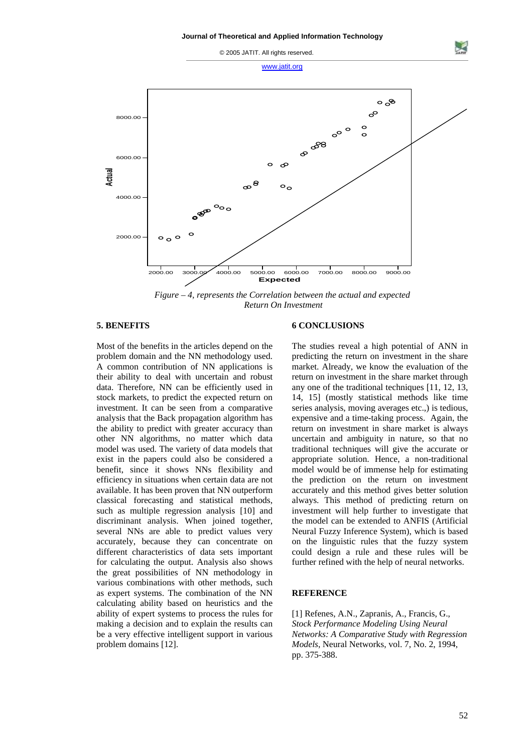



*Figure – 4, represents the Correlation between the actual and expected Return On Investment* 

## **5. BENEFITS**

Most of the benefits in the articles depend on the problem domain and the NN methodology used. A common contribution of NN applications is their ability to deal with uncertain and robust data. Therefore, NN can be efficiently used in stock markets, to predict the expected return on investment. It can be seen from a comparative analysis that the Back propagation algorithm has the ability to predict with greater accuracy than other NN algorithms, no matter which data model was used. The variety of data models that exist in the papers could also be considered a benefit, since it shows NNs flexibility and efficiency in situations when certain data are not available. It has been proven that NN outperform classical forecasting and statistical methods, such as multiple regression analysis [10] and discriminant analysis. When joined together, several NNs are able to predict values very accurately, because they can concentrate on different characteristics of data sets important for calculating the output. Analysis also shows the great possibilities of NN methodology in various combinations with other methods, such as expert systems. The combination of the NN calculating ability based on heuristics and the ability of expert systems to process the rules for making a decision and to explain the results can be a very effective intelligent support in various problem domains [12].

#### **6 CONCLUSIONS**

The studies reveal a high potential of ANN in predicting the return on investment in the share market. Already, we know the evaluation of the return on investment in the share market through any one of the traditional techniques [11, 12, 13, 14, 15] (mostly statistical methods like time series analysis, moving averages etc.,) is tedious, expensive and a time-taking process. Again, the return on investment in share market is always uncertain and ambiguity in nature, so that no traditional techniques will give the accurate or appropriate solution. Hence, a non-traditional model would be of immense help for estimating the prediction on the return on investment accurately and this method gives better solution always. This method of predicting return on investment will help further to investigate that the model can be extended to ANFIS (Artificial Neural Fuzzy Inference System), which is based on the linguistic rules that the fuzzy system could design a rule and these rules will be further refined with the help of neural networks.

## **REFERENCE**

[1] Refenes, A.N., Zapranis, A., Francis, G., *Stock Performance Modeling Using Neural Networks: A Comparative Study with Regression Models*, Neural Networks, vol. 7, No. 2, 1994, pp. 375-388.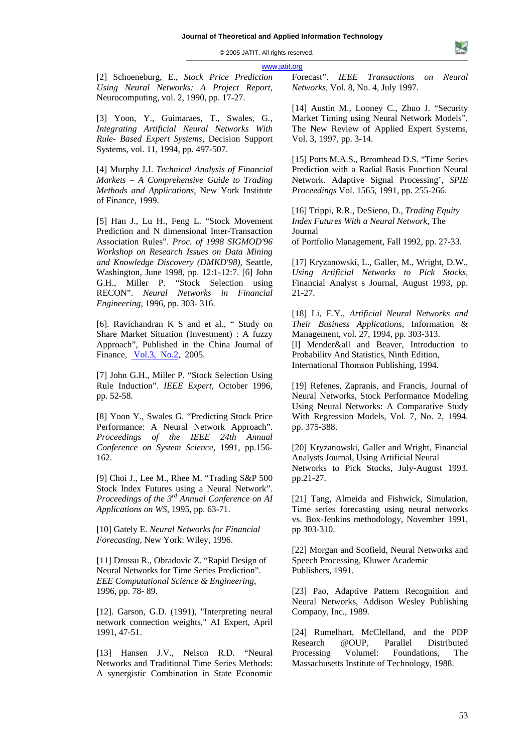

#### www.jatit.org

[2] Schoeneburg, E., *Stock Price Prediction Using Neural Networks: A Project Report*, Neurocomputing, vol. 2, 1990, pp. 17-27.

[3] Yoon, Y., Guimaraes, T., Swales, G*., Integrating Artificial Neural Networks With Rule- Based Expert Systems*, Decision Support Systems, vol. 11, 1994, pp. 497-507.

[4] Murphy J.J. *Technical Analysis of Financial Markets – A Comprehensive Guide to Trading Methods and Applications*, New York Institute of Finance, 1999.

[5] Han J., Lu H., Feng L. "Stock Movement Prediction and N dimensional Inter-Transaction Association Rules". *Proc. of 1998 SIGMOD'96 Workshop on Research Issues on Data Mining and Knowledge Discovery (DMKD'98)*, Seattle, Washington, June 1998, pp. 12:1-12:7. [6] John G.H., Miller P. "Stock Selection using RECON". *Neural Networks in Financial Engineering*, 1996, pp. 303- 316.

[6]. Ravichandran K S and et al., " Study on Share Market Situation (Investment) : A fuzzy Approach", Published in the China Journal of Finance, [Vol.3, No.2](http://cjfinance.org/new/mulu_display_en.asp?file=2005-3-2-en.asp), 2005.

[7] John G.H., Miller P. "Stock Selection Using Rule Induction". *IEEE Expert*, October 1996, pp. 52-58.

[8] Yoon Y., Swales G. "Predicting Stock Price Performance: A Neural Network Approach". *Proceedings of the IEEE 24th Annual Conference on System Science*, 1991, pp.156- 162.

[9] Choi J., Lee M., Rhee M. "Trading S&P 500 Stock Index Futures using a Neural Network". *Proceedings of the 3rd Annual Conference on AI Applications on WS*, 1995, pp. 63-71.

[10] Gately E. *Neural Networks for Financial Forecasting*, New York: Wiley, 1996.

[11] Drossu R., Obradovic Z. "Rapid Design of Neural Networks for Time Series Prediction". *EEE Computational Science & Engineering*, 1996, pp. 78- 89.

[12]. Garson, G.D. (1991), "Interpreting neural network connection weights," AI Expert, April 1991, 47-51.

[13] Hansen J.V., Nelson R.D. "Neural Networks and Traditional Time Series Methods: A synergistic Combination in State Economic Forecast". *IEEE Transactions on Neural Networks*, Vol. 8, No. 4, July 1997.

[14] Austin M., Looney C., Zhuo J. "Security Market Timing using Neural Network Models". The New Review of Applied Expert Systems, Vol. 3, 1997, pp. 3-14.

[15] Potts M.A.S., Brromhead D.S. "Time Series Prediction with a Radial Basis Function Neural Network. Adaptive Signal Processing', *SPIE Proceedings* Vol. 1565, 1991, pp. 255-266.

[16] Trippi, R.R., DeSieno, D., *Trading Equity Index Futures With a Neural Network*, The Journal

of Portfolio Management, Fall 1992, pp. 27-33.

[17] Kryzanowski, L., Galler, M., Wright, D.W., *Using Artificial Networks to Pick Stocks*, Financial Analyst s Journal, August 1993, pp. 21-27.

[18] Li, E.Y., *Artificial Neural Networks and Their Business Applications*, Information & Management, vol. 27, 1994, pp. 303-313. [l] Mender&all and Beaver, Introduction to Probabilitv And Statistics, Ninth Edition, International Thomson Publishing, 1994.

[19] Refenes, Zapranis, and Francis, Journal of Neural Networks, Stock Performance Modeling Using Neural Networks: A Comparative Study With Regression Models, Vol. 7, No. 2, 1994. pp. 375-388.

[20] Kryzanowski, Galler and Wright, Financial Analysts Journal, Using Artificial Neural Networks to Pick Stocks, July-August 1993. pp.21-27.

[21] Tang, Almeida and Fishwick, Simulation, Time series forecasting using neural networks vs. Box-Jenkins methodology, November 1991, pp 303-310.

[22] Morgan and Scofield, Neural Networks and Speech Processing, Kluwer Academic Publishers, 1991.

[23] Pao, Adaptive Pattern Recognition and Neural Networks, Addison Wesley Publishing Company, Inc., 1989.

[24] Rumelhart, McClelland, and the PDP Research @OUP, Parallel Distributed Processing Volumel: Foundations, The Massachusetts Institute of Technology, 1988.